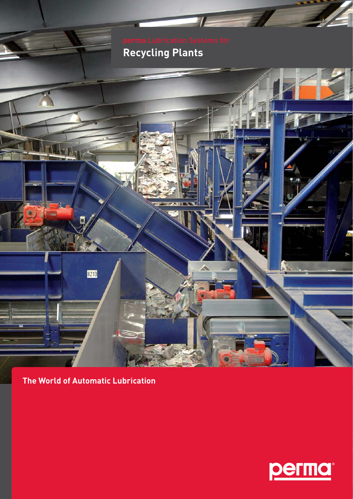# **Recycling Plants**



8210

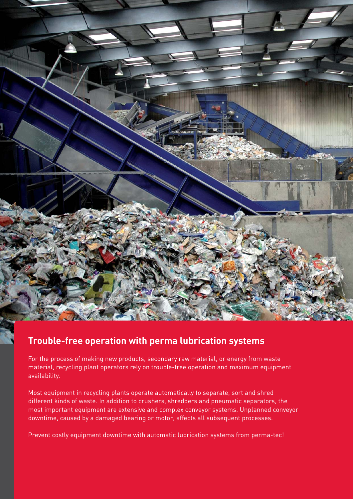

### **Trouble-free operation with perma lubrication systems**

For the process of making new products, secondary raw material, or energy from waste material, recycling plant operators rely on trouble-free operation and maximum equipment availability.

Most equipment in recycling plants operate automatically to separate, sort and shred different kinds of waste. In addition to crushers, shredders and pneumatic separators, the most important equipment are extensive and complex conveyor systems. Unplanned conveyor downtime, caused by a damaged bearing or motor, affects all subsequent processes.

Prevent costly equipment downtime with automatic lubrication systems from perma-tec!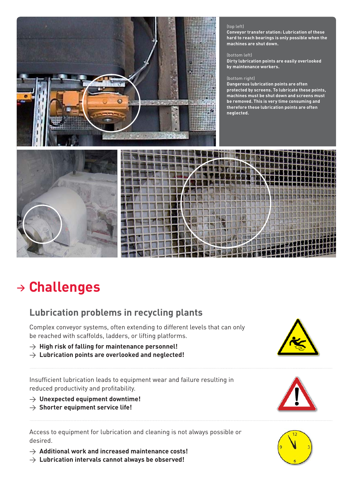

#### (top left)

**Conveyor transfer station: Lubrication of these hard to reach bearings is only possible when the machines are shut down.**

#### (bottom left)

**Dirty lubrication points are easily overlooked by maintenance workers.** 

#### (bottom right)

**Dangerous lubrication points are often protected by screens. To lubricate these points, machines must be shut down and screens must be removed. This is very time consuming and therefore these lubrication points are often neglected.** 





## **<sup>&</sup>gt; Challenges**

## **Lubrication problems in recycling plants**

Complex conveyor systems, often extending to different levels that can only be reached with scaffolds, ladders, or lifting platforms.

- $\rightarrow$  High risk of falling for maintenance personnel!
- $\rightarrow$  Lubrication points are overlooked and neglected!

Insufficient lubrication leads to equipment wear and failure resulting in reduced productivity and profitability.

- > **Unexpected equipment downtime!**
- > **Shorter equipment service life!**

Access to equipment for lubrication and cleaning is not always possible or desired.

- > **Additional work and increased maintenance costs!**
- $\rightarrow$  Lubrication intervals cannot always be observed!





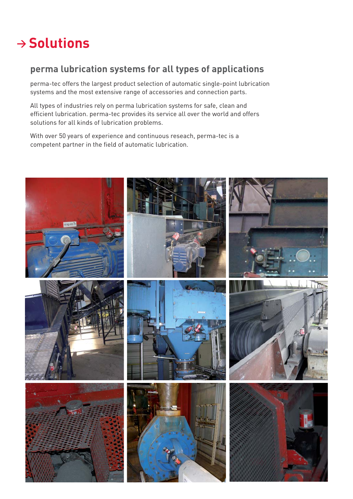## **<sup>&</sup>gt; Solutions**

### **perma lubrication systems for all types of applications**

perma-tec offers the largest product selection of automatic single-point lubrication systems and the most extensive range of accessories and connection parts.

All types of industries rely on perma lubrication systems for safe, clean and efficient lubrication. perma-tec provides its service all over the world and offers solutions for all kinds of lubrication problems.

With over 50 years of experience and continuous reseach, perma-tec is a competent partner in the field of automatic lubrication.

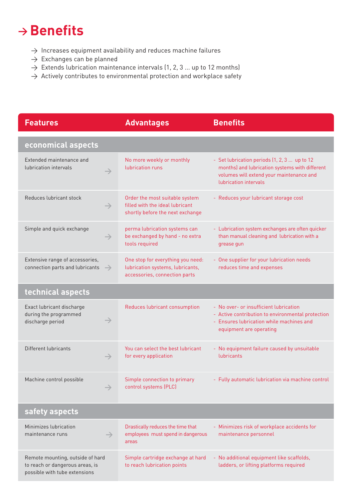## **→ Benefits**

- $\rightarrow$  Increases equipment availability and reduces machine failures
- $\rightarrow$  Exchanges can be planned
- $\rightarrow$  Extends lubrication maintenance intervals (1, 2, 3 ... up to 12 months)
- $\rightarrow$  Actively contributes to environmental protection and workplace safety

| <b>Features</b>                                                                                      | <b>Advantages</b>                                                                                      | <b>Benefits</b>                                                                                                                                                     |
|------------------------------------------------------------------------------------------------------|--------------------------------------------------------------------------------------------------------|---------------------------------------------------------------------------------------------------------------------------------------------------------------------|
| economical aspects                                                                                   |                                                                                                        |                                                                                                                                                                     |
| Extended maintenance and<br>lubrication intervals                                                    | No more weekly or monthly<br>lubrication runs                                                          | - Set lubrication periods (1, 2, 3  up to 12<br>months) and lubrication systems with different<br>volumes will extend your maintenance and<br>lubrication intervals |
| Reduces lubricant stock<br>$\rightarrow$                                                             | Order the most suitable system<br>filled with the ideal lubricant<br>shortly before the next exchange  | - Reduces your lubricant storage cost                                                                                                                               |
| Simple and quick exchange<br>$\rightarrow$                                                           | perma lubrication systems can<br>be exchanged by hand - no extra<br>tools required                     | - Lubrication system exchanges are often quicker<br>than manual cleaning and lubrication with a<br>grease gun                                                       |
| Extensive range of accessories,<br>connection parts and lubricants<br>$\rightarrow$                  | One stop for everything you need:<br>lubrication systems, lubricants,<br>accessories, connection parts | - One supplier for your lubrication needs<br>reduces time and expenses                                                                                              |
| technical aspects                                                                                    |                                                                                                        |                                                                                                                                                                     |
| Exact lubricant discharge<br>during the programmed<br>$\rightarrow$<br>discharge period              | Reduces lubricant consumption                                                                          | - No over- or insufficient lubrication<br>- Active contribution to environmental protection<br>- Ensures lubrication while machines and<br>equipment are operating  |
| Different lubricants<br>$\rightarrow$                                                                | You can select the best lubricant<br>for every application                                             | - No equipment failure caused by unsuitable<br>lubricants                                                                                                           |
| Machine control possible<br>$\rightarrow$                                                            | Simple connection to primary<br>control systems (PLC)                                                  | - Fully automatic lubrication via machine control                                                                                                                   |
| safety aspects                                                                                       |                                                                                                        |                                                                                                                                                                     |
| Minimizes lubrication<br>maintenance runs<br>$\rightarrow$                                           | Drastically reduces the time that<br>employees must spend in dangerous<br>areas                        | - Minimizes risk of workplace accidents for<br>maintenance personnel                                                                                                |
| Remote mounting, outside of hard<br>to reach or dangerous areas, is<br>possible with tube extensions | Simple cartridge exchange at hard<br>to reach lubrication points                                       | - No additional equipment like scaffolds,<br>ladders, or lifting platforms required                                                                                 |